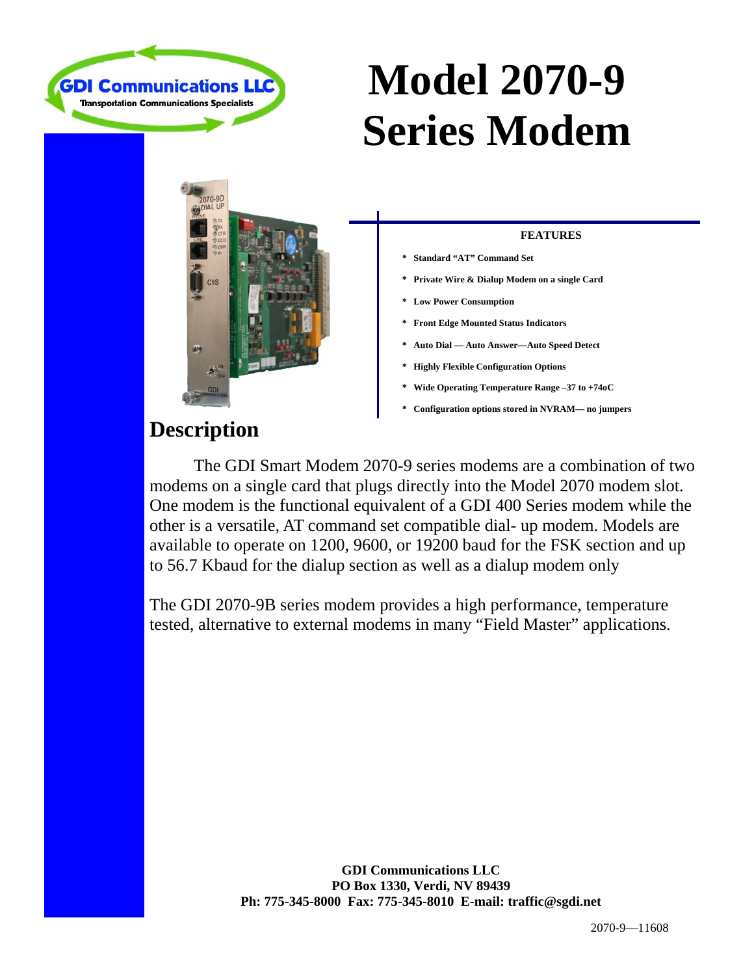

# **Model 2070-9 Series Modem**



### **FEATURES**

- **\* Standard "AT" Command Set**
- **\* Private Wire & Dialup Modem on a single Card**
- **\* Low Power Consumption**
- **\* Front Edge Mounted Status Indicators**
- **\* Auto Dial Auto Answer—Auto Speed Detect**
- **\* Highly Flexible Configuration Options**
- **\* Wide Operating Temperature Range –37 to +74oC**
- **\* Configuration options stored in NVRAM— no jumpers**

## **Description**

 The GDI Smart Modem 2070-9 series modems are a combination of two modems on a single card that plugs directly into the Model 2070 modem slot. One modem is the functional equivalent of a GDI 400 Series modem while the other is a versatile, AT command set compatible dial- up modem. Models are available to operate on 1200, 9600, or 19200 baud for the FSK section and up to 56.7 Kbaud for the dialup section as well as a dialup modem only

The GDI 2070-9B series modem provides a high performance, temperature tested, alternative to external modems in many "Field Master" applications.

> **GDI Communications LLC PO Box 1330, Verdi, NV 89439 Ph: 775-345-8000 Fax: 775-345-8010 E-mail: traffic@sgdi.net**